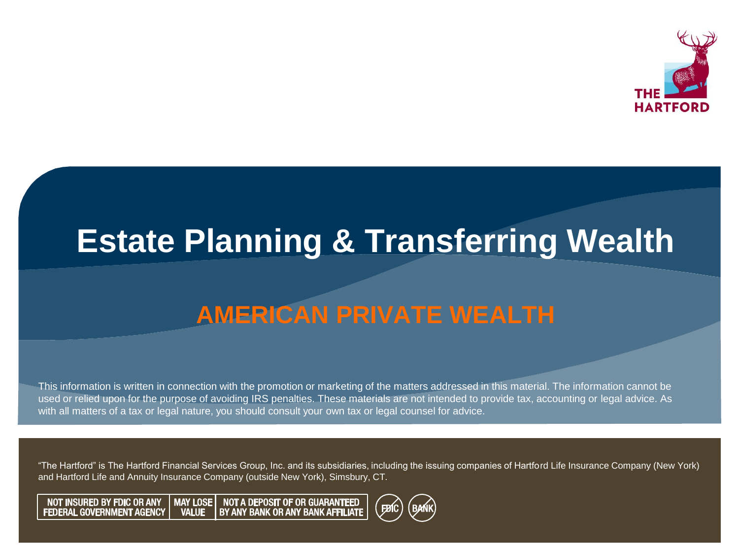

#### **Estate Planning & Transferring Wealth**

#### **AMERICAN PRIVATE WEALTH**

This information is written in connection with the promotion or marketing of the matters addressed in this material. The information cannot be used or relied upon for the purpose of avoiding IRS penalties. These materials are not intended to provide tax, accounting or legal advice. As with all matters of a tax or legal nature, you should consult your own tax or legal counsel for advice.

"The Hartford" is The Hartford Financial Services Group, Inc. and its subsidiaries, including the issuing companies of Hartford Life Insurance Company (New York) and Hartford Life and Annuity Insurance Company (outside New York), Simsbury, CT.

MAY LOSE | NOT A DEPOSIT OF OR GUARANTEED<br>BY ANY BANK OR ANY BANK AFFILIATE **NOT INSURED BY FDIC OR ANY FEDERAL GOVERNMENT AGENCY VALUE** 

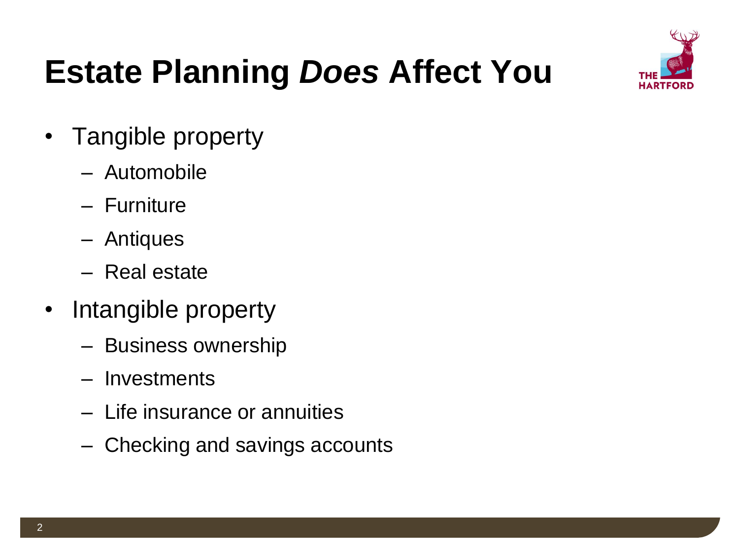

## **Estate Planning** *Does* **Affect You**

- Tangible property
	- Automobile
	- Furniture
	- Antiques
	- Real estate
- Intangible property
	- Business ownership
	- Investments
	- Life insurance or annuities
	- Checking and savings accounts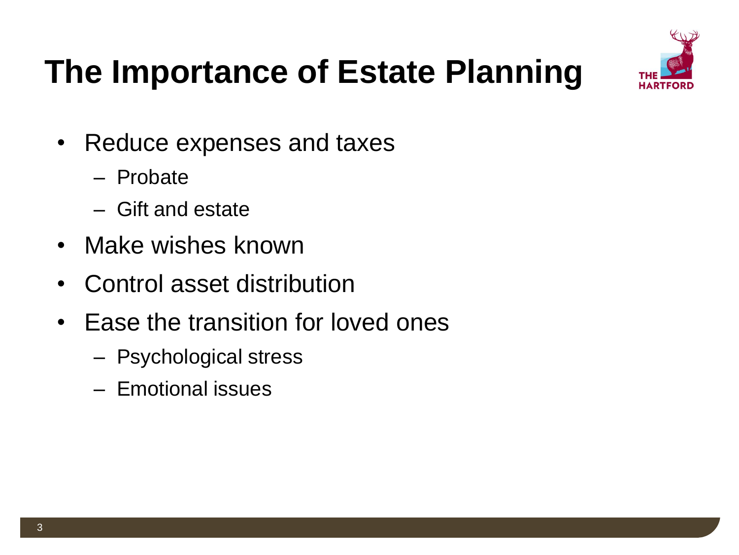

## **The Importance of Estate Planning**

- Reduce expenses and taxes
	- Probate
	- Gift and estate
- Make wishes known
- Control asset distribution
- Ease the transition for loved ones
	- Psychological stress
	- Emotional issues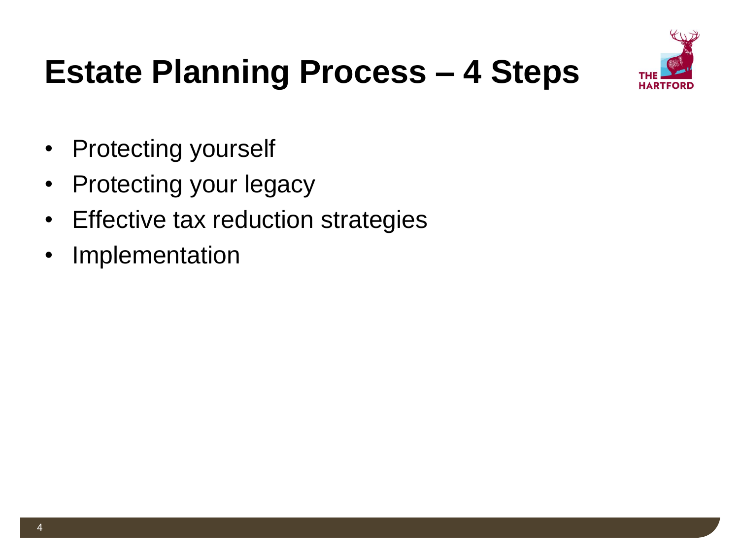

## **Estate Planning Process – 4 Steps**

- Protecting yourself
- Protecting your legacy
- Effective tax reduction strategies
- Implementation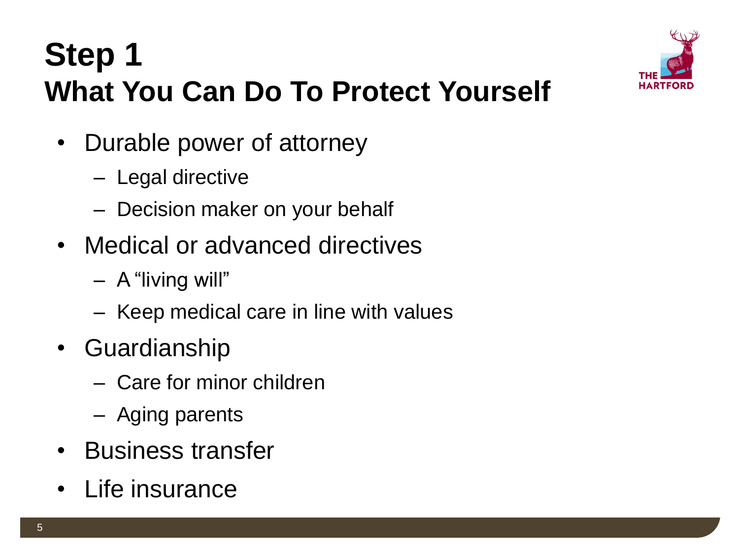### **Step 1 What You Can Do To Protect Yourself**



- Durable power of attorney
	- Legal directive
	- Decision maker on your behalf
- Medical or advanced directives
	- A "living will"
	- Keep medical care in line with values
- Guardianship
	- Care for minor children
	- Aging parents
- Business transfer
- Life insurance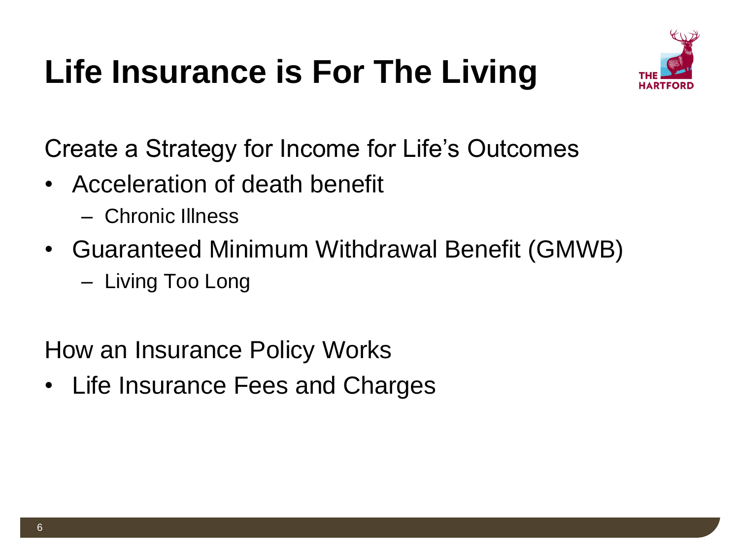## **Life Insurance is For The Living**



Create a Strategy for Income for Life's Outcomes

- Acceleration of death benefit
	- Chronic Illness
- Guaranteed Minimum Withdrawal Benefit (GMWB)
	- Living Too Long

How an Insurance Policy Works

• Life Insurance Fees and Charges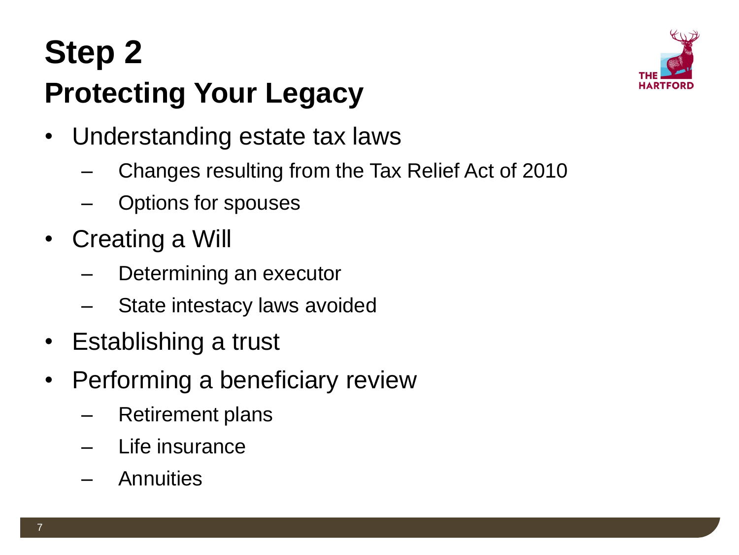## **Step 2 Protecting Your Legacy**



- Understanding estate tax laws
	- Changes resulting from the Tax Relief Act of 2010
	- Options for spouses
- Creating a Will
	- Determining an executor
	- State intestacy laws avoided
- Establishing a trust
- Performing a beneficiary review
	- Retirement plans
	- Life insurance
	- Annuities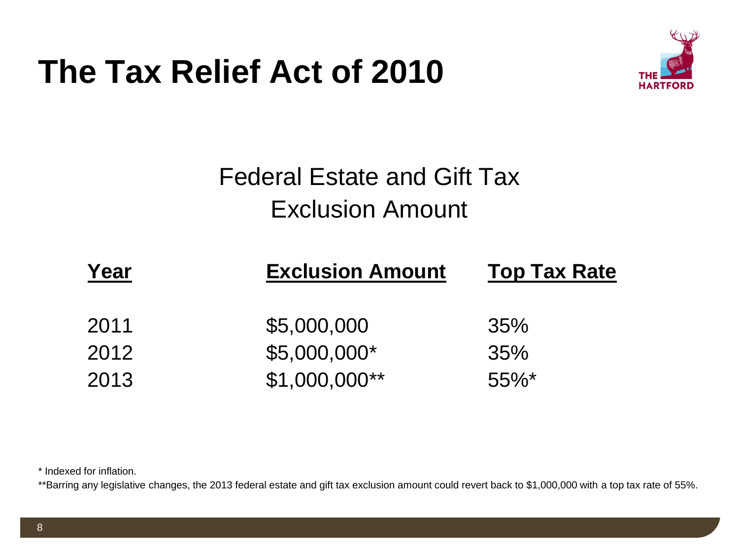#### **The Tax Relief Act of 2010**



#### Federal Estate and Gift Tax Exclusion Amount

| <b>Exclusion Amount</b> | <b>Top Tax Rate</b> |
|-------------------------|---------------------|
|                         |                     |
| \$5,000,000             | 35%                 |
| \$5,000,000*            | 35%                 |
| $$1,000,000**$          | $55\%$ *            |
|                         |                     |

\* Indexed for inflation.

\*\*Barring any legislative changes, the 2013 federal estate and gift tax exclusion amount could revert back to \$1,000,000 with a top tax rate of 55%.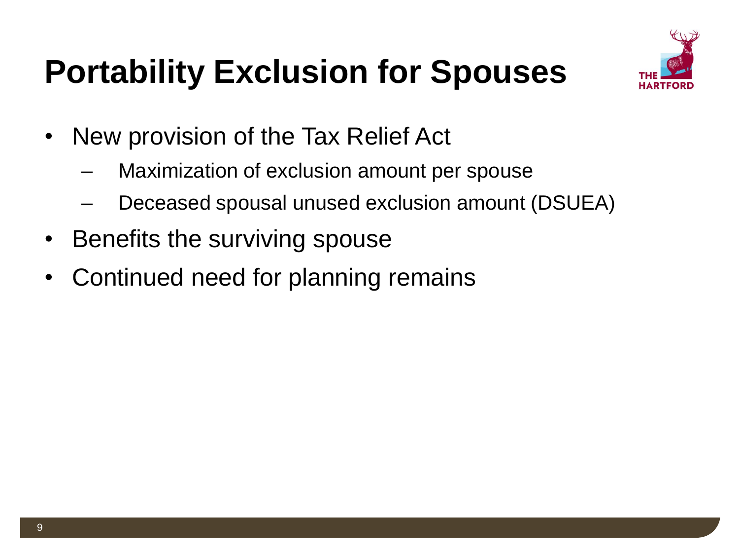

## **Portability Exclusion for Spouses**

- New provision of the Tax Relief Act
	- Maximization of exclusion amount per spouse
	- Deceased spousal unused exclusion amount (DSUEA)
- Benefits the surviving spouse
- Continued need for planning remains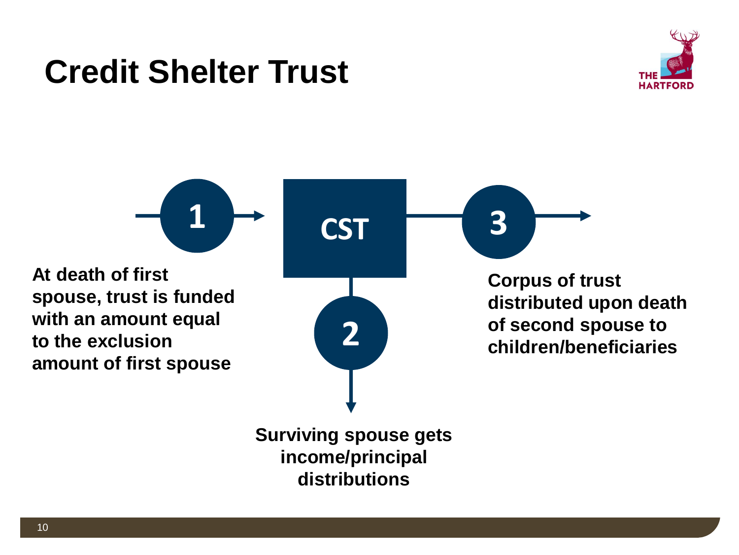#### **Credit Shelter Trust**



 $1 \rightarrow \csc$ **2 CST At death of first spouse, trust is funded with an amount equal to the exclusion amount of first spouse Corpus of trust distributed upon death of second spouse to children/beneficiaries**

> **Surviving spouse gets income/principal distributions**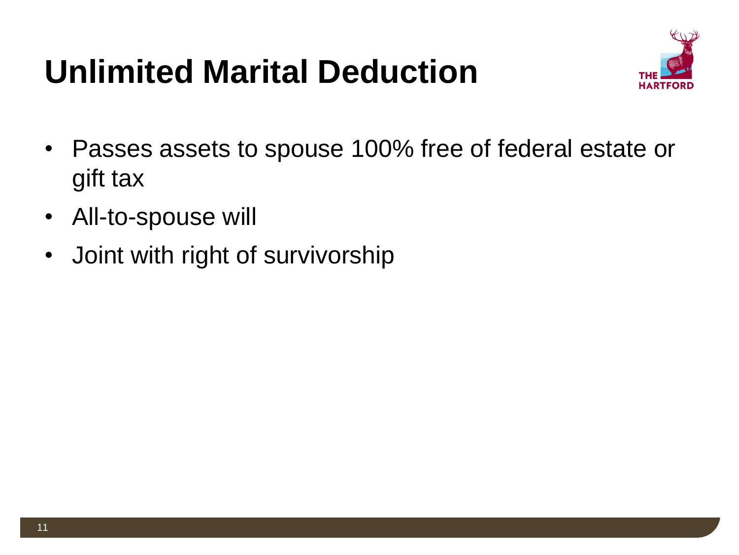## **Unlimited Marital Deduction**



- Passes assets to spouse 100% free of federal estate or gift tax
- All-to-spouse will
- Joint with right of survivorship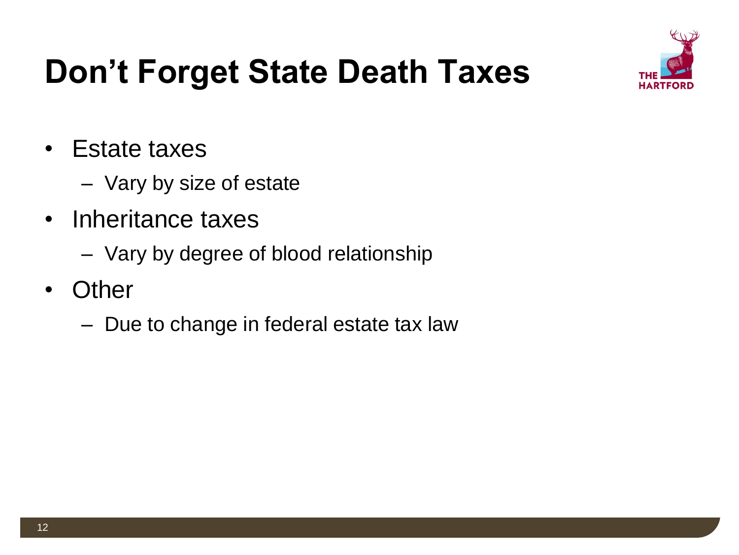

## **Don't Forget State Death Taxes**

- Estate taxes
	- Vary by size of estate
- Inheritance taxes
	- Vary by degree of blood relationship
- Other
	- Due to change in federal estate tax law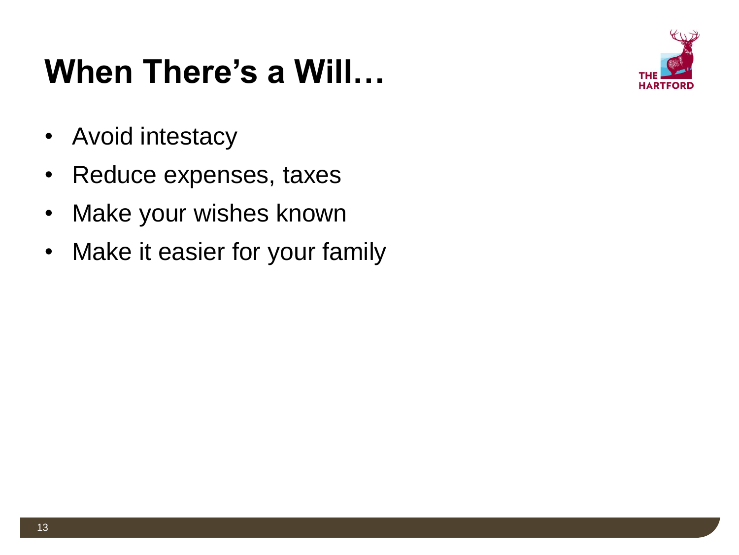### **When There's a Will…**



- Avoid intestacy
- Reduce expenses, taxes
- Make your wishes known
- Make it easier for your family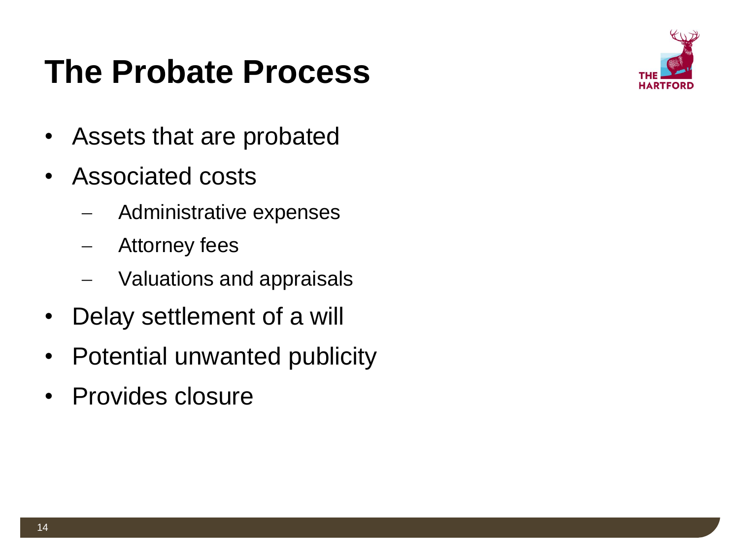### **The Probate Process**



- Assets that are probated
- Associated costs
	- Administrative expenses
	- Attorney fees
	- Valuations and appraisals
- Delay settlement of a will
- Potential unwanted publicity
- Provides closure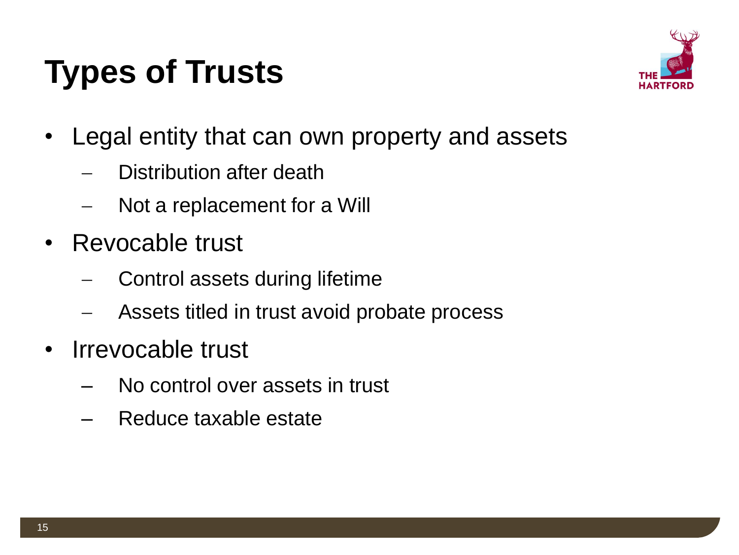## **Types of Trusts**



- Legal entity that can own property and assets
	- Distribution after death
	- Not a replacement for a Will
- Revocable trust
	- Control assets during lifetime
	- Assets titled in trust avoid probate process
- Irrevocable trust
	- No control over assets in trust
	- Reduce taxable estate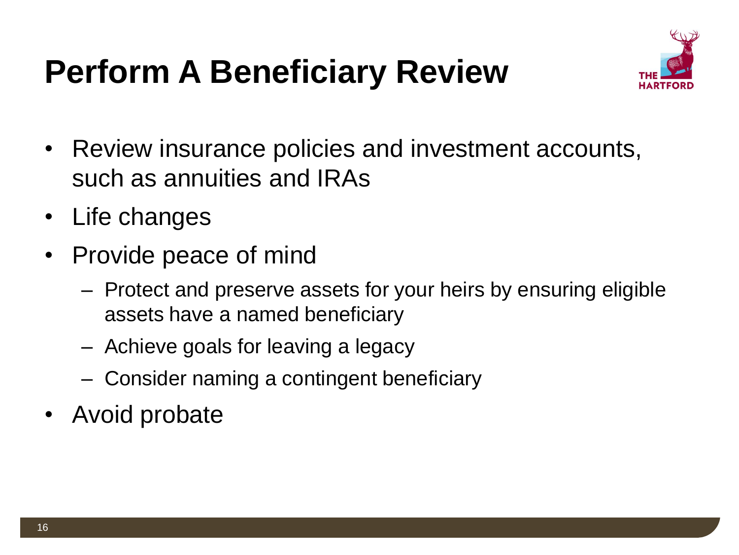## **Perform A Beneficiary Review**



- Review insurance policies and investment accounts, such as annuities and IRAs
- Life changes
- Provide peace of mind
	- Protect and preserve assets for your heirs by ensuring eligible assets have a named beneficiary
	- Achieve goals for leaving a legacy
	- Consider naming a contingent beneficiary
- Avoid probate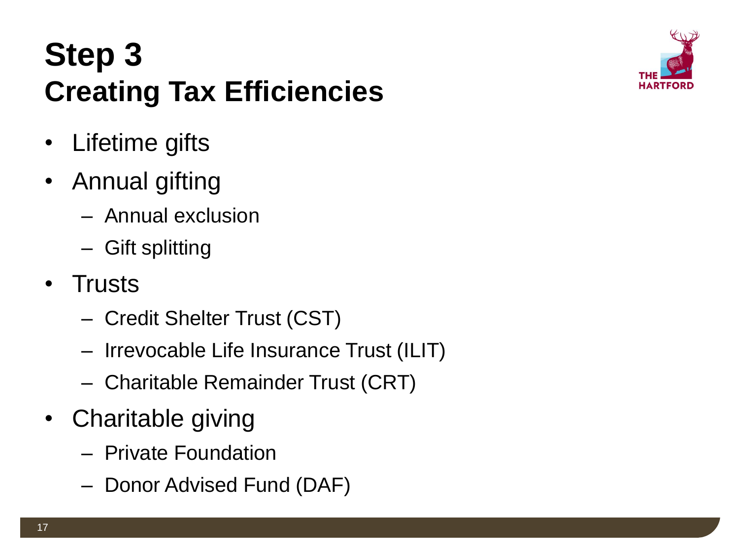### **Step 3 Creating Tax Efficiencies**



- Lifetime gifts
- Annual gifting
	- Annual exclusion
	- Gift splitting
- Trusts
	- Credit Shelter Trust (CST)
	- Irrevocable Life Insurance Trust (ILIT)
	- Charitable Remainder Trust (CRT)
- Charitable giving
	- Private Foundation
	- Donor Advised Fund (DAF)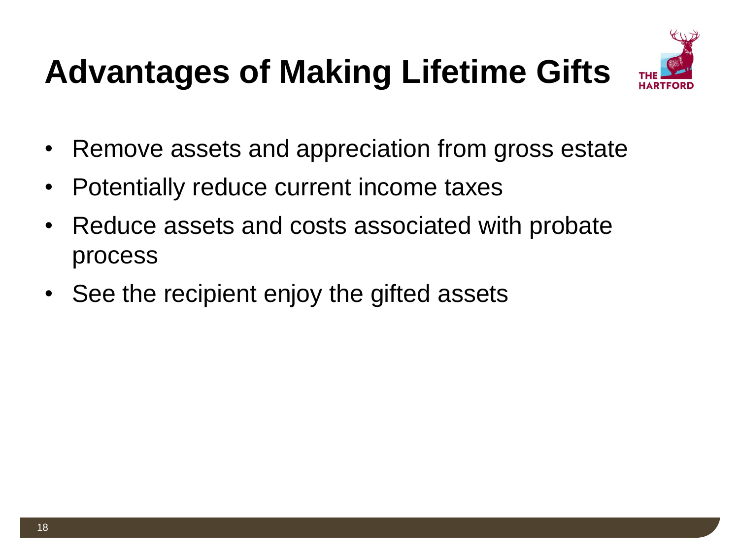# **Advantages of Making Lifetime Gifts**



- Remove assets and appreciation from gross estate
- Potentially reduce current income taxes
- Reduce assets and costs associated with probate process
- See the recipient enjoy the gifted assets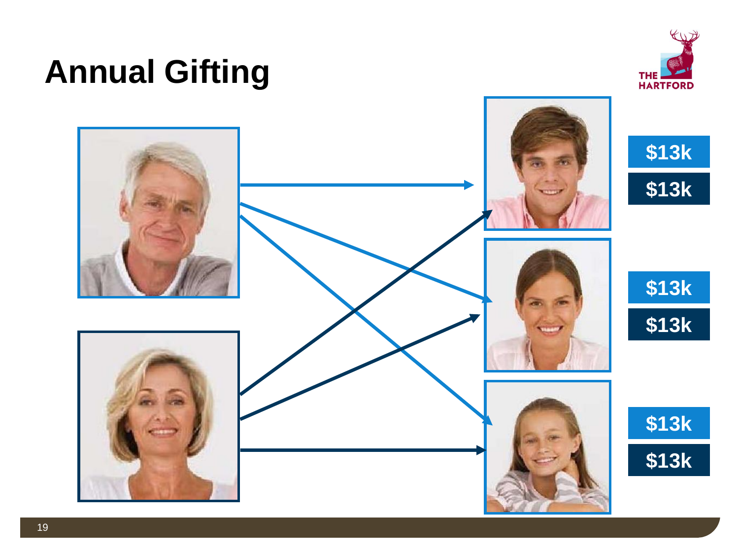### **Annual Gifting**



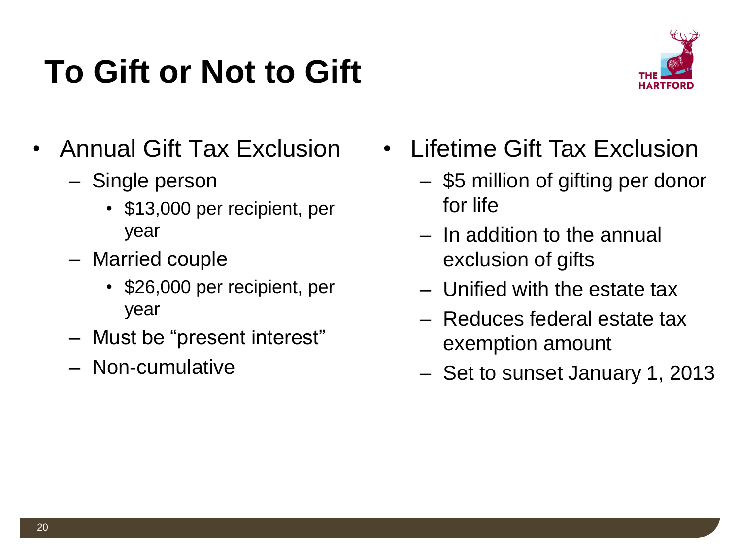## **To Gift or Not to Gift**



- Annual Gift Tax Exclusion
	- Single person
		- \$13,000 per recipient, per year
	- Married couple
		- \$26,000 per recipient, per year
	- Must be "present interest"
	- Non-cumulative
- Lifetime Gift Tax Exclusion
	- \$5 million of gifting per donor for life
	- In addition to the annual exclusion of gifts
	- Unified with the estate tax
	- Reduces federal estate tax exemption amount
	- Set to sunset January 1, 2013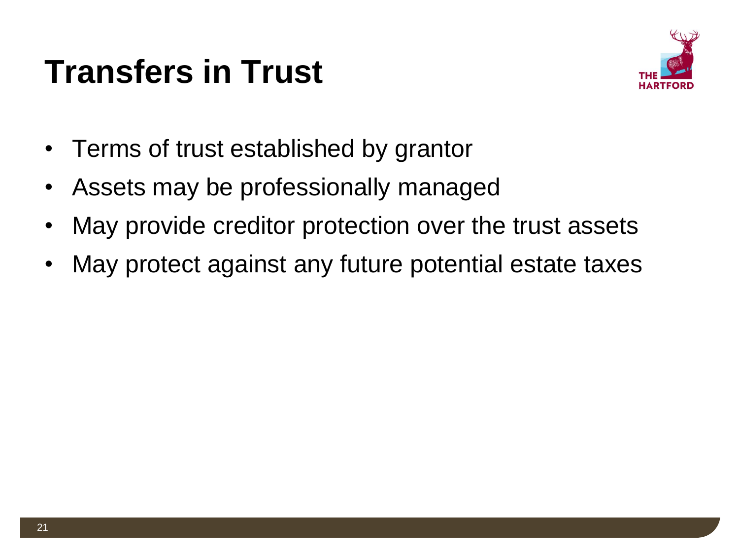### **Transfers in Trust**



- Terms of trust established by grantor
- Assets may be professionally managed
- May provide creditor protection over the trust assets
- May protect against any future potential estate taxes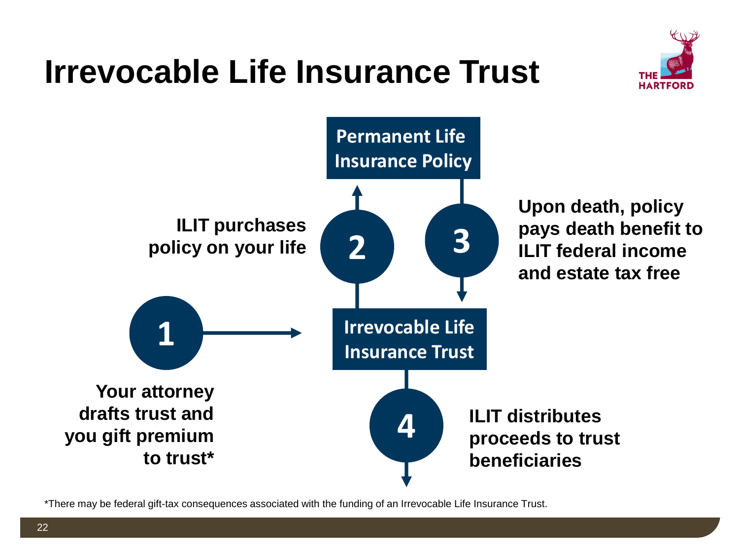### **Irrevocable Life Insurance Trust**





\*There may be federal gift-tax consequences associated with the funding of an Irrevocable Life Insurance Trust.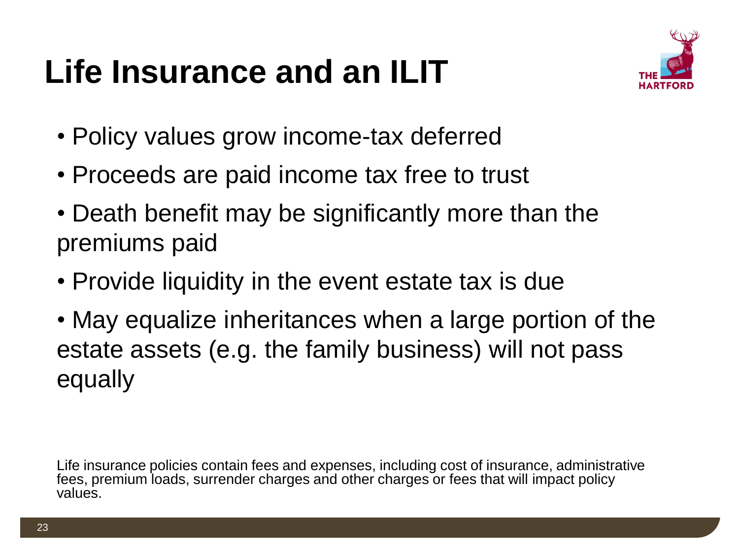## **Life Insurance and an ILIT**



- Policy values grow income-tax deferred
- Proceeds are paid income tax free to trust
- Death benefit may be significantly more than the premiums paid
- Provide liquidity in the event estate tax is due
- May equalize inheritances when a large portion of the estate assets (e.g. the family business) will not pass equally

Life insurance policies contain fees and expenses, including cost of insurance, administrative fees, premium loads, surrender charges and other charges or fees that will impact policy values.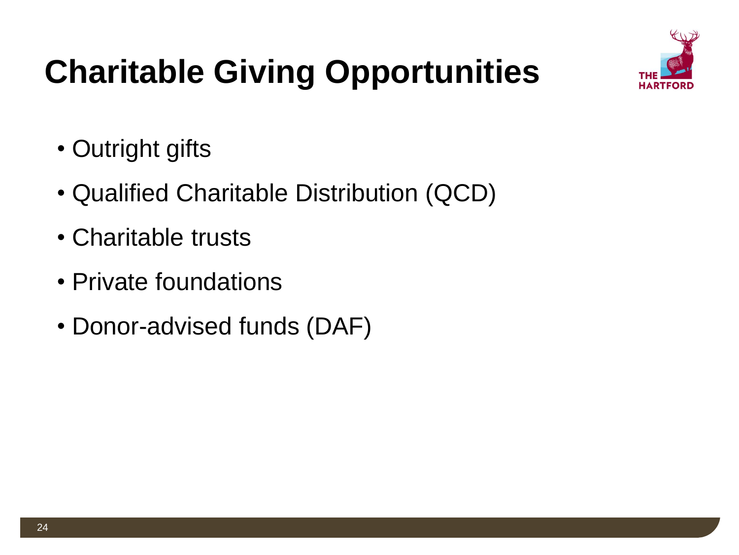

# **Charitable Giving Opportunities**

- Outright gifts
- Qualified Charitable Distribution (QCD)
- Charitable trusts
- Private foundations
- Donor-advised funds (DAF)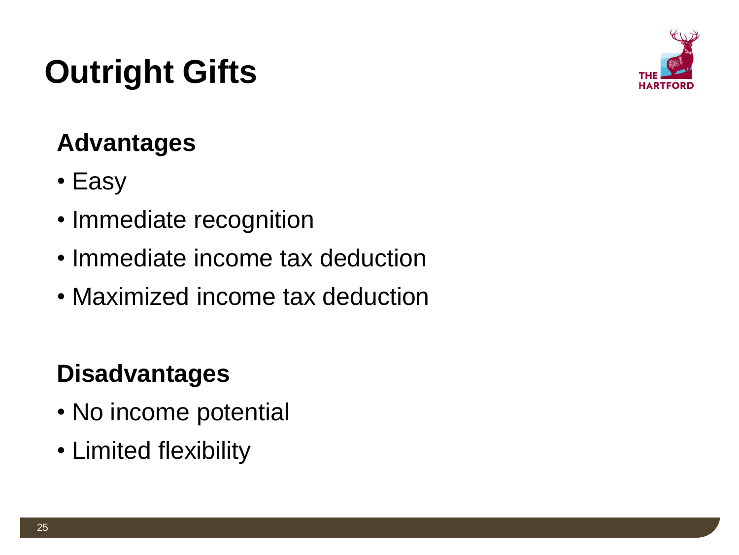## **Outright Gifts**



#### **Advantages**

- Easy
- Immediate recognition
- Immediate income tax deduction
- Maximized income tax deduction

#### **Disadvantages**

- No income potential
- Limited flexibility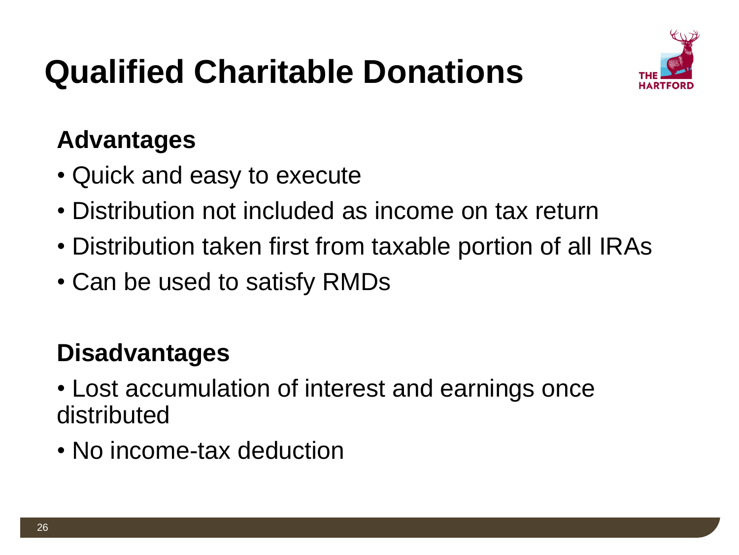

## **Qualified Charitable Donations**

#### **Advantages**

- Quick and easy to execute
- Distribution not included as income on tax return
- Distribution taken first from taxable portion of all IRAs
- Can be used to satisfy RMDs

#### **Disadvantages**

- Lost accumulation of interest and earnings once distributed
- No income-tax deduction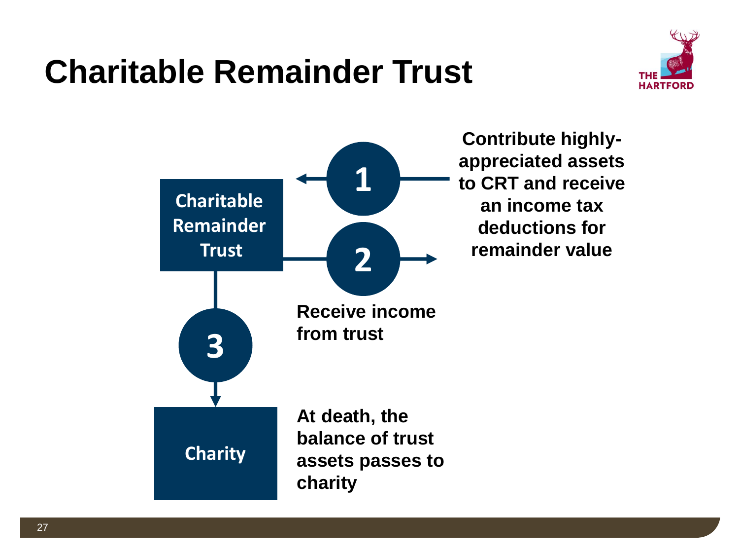### **Charitable Remainder Trust**



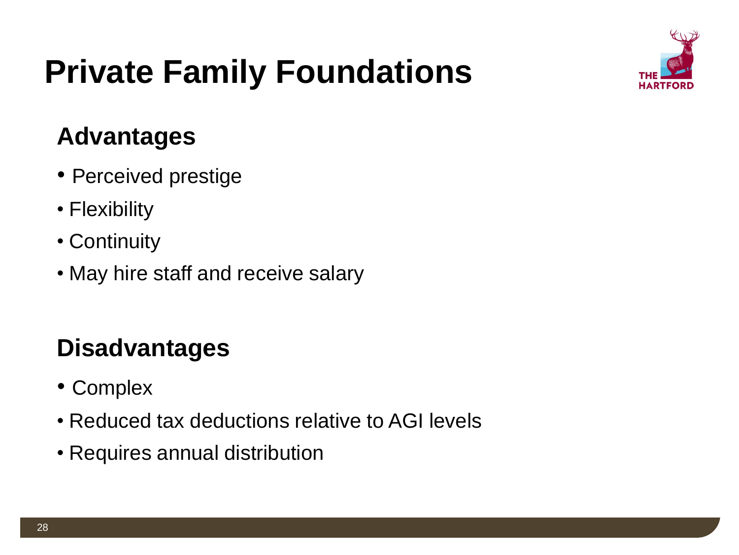## **Private Family Foundations**



#### **Advantages**

- Perceived prestige
- Flexibility
- Continuity
- May hire staff and receive salary

#### **Disadvantages**

- Complex
- Reduced tax deductions relative to AGI levels
- Requires annual distribution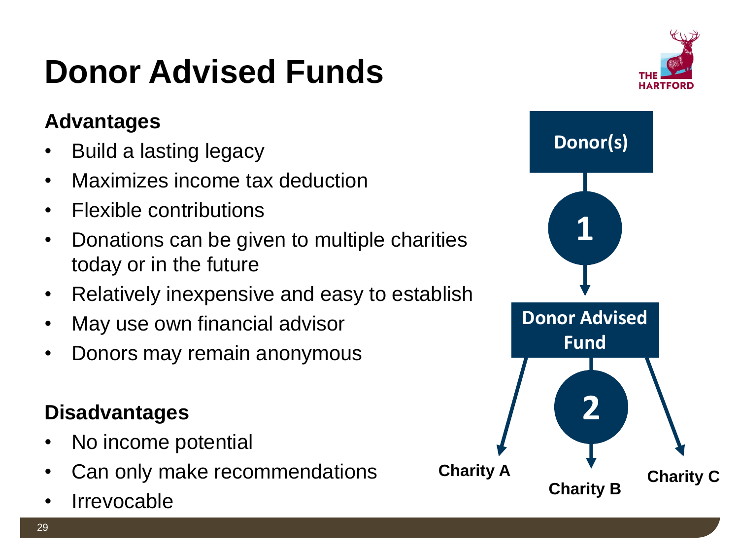## **Donor Advised Funds**

#### **Advantages**

- Build a lasting legacy
- Maximizes income tax deduction
- Flexible contributions
- Donations can be given to multiple charities today or in the future
- Relatively inexpensive and easy to establish
- May use own financial advisor
- Donors may remain anonymous

#### **Disadvantages**

- No income potential
- Can only make recommendations
- **Irrevocable**

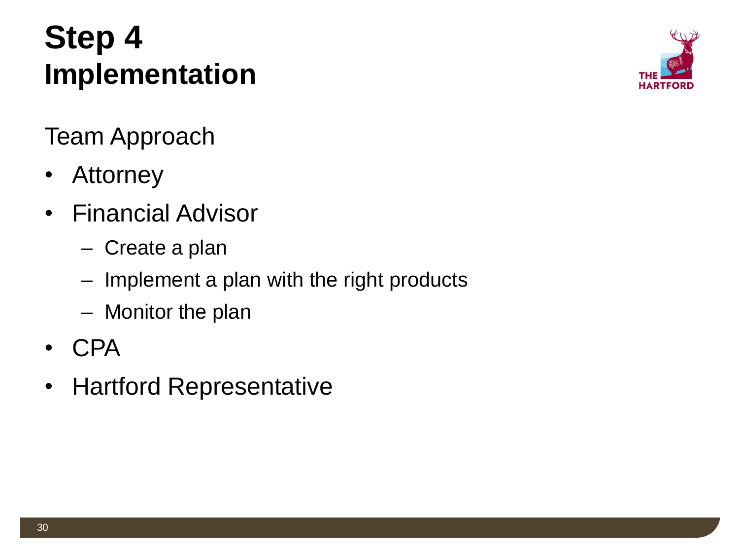#### **Step 4 Implementation**



Team Approach

- Attorney
- Financial Advisor
	- Create a plan
	- Implement a plan with the right products
	- Monitor the plan
- CPA
- Hartford Representative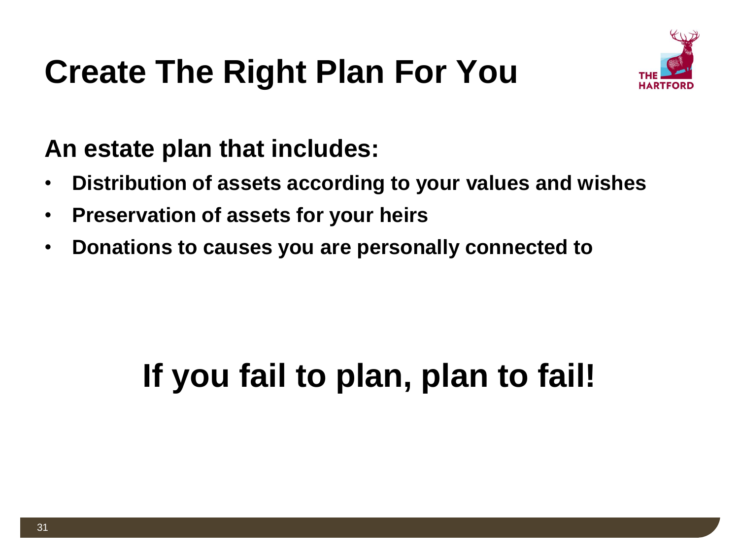### **Create The Right Plan For You**



#### **An estate plan that includes:**

- **Distribution of assets according to your values and wishes**
- **Preservation of assets for your heirs**
- **Donations to causes you are personally connected to**

## **If you fail to plan, plan to fail!**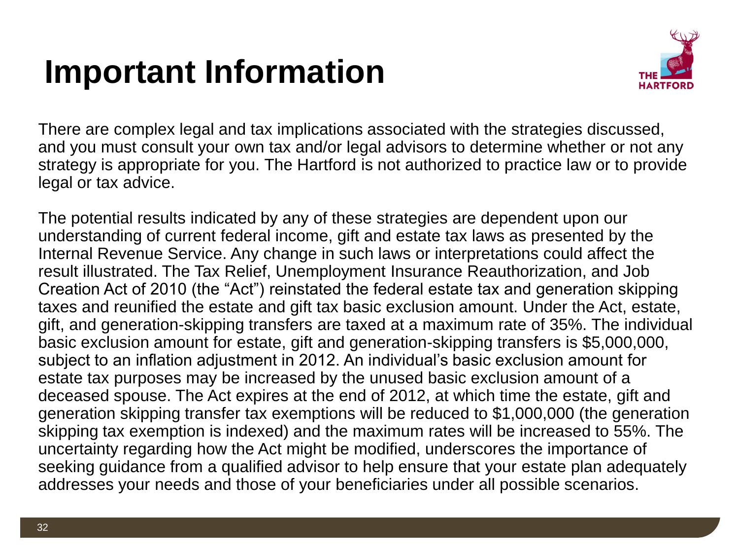### **Important Information**



There are complex legal and tax implications associated with the strategies discussed, and you must consult your own tax and/or legal advisors to determine whether or not any strategy is appropriate for you. The Hartford is not authorized to practice law or to provide legal or tax advice.

The potential results indicated by any of these strategies are dependent upon our understanding of current federal income, gift and estate tax laws as presented by the Internal Revenue Service. Any change in such laws or interpretations could affect the result illustrated. The Tax Relief, Unemployment Insurance Reauthorization, and Job Creation Act of 2010 (the "Act") reinstated the federal estate tax and generation skipping taxes and reunified the estate and gift tax basic exclusion amount. Under the Act, estate, gift, and generation-skipping transfers are taxed at a maximum rate of 35%. The individual basic exclusion amount for estate, gift and generation-skipping transfers is \$5,000,000, subject to an inflation adjustment in 2012. An individual's basic exclusion amount for estate tax purposes may be increased by the unused basic exclusion amount of a deceased spouse. The Act expires at the end of 2012, at which time the estate, gift and generation skipping transfer tax exemptions will be reduced to \$1,000,000 (the generation skipping tax exemption is indexed) and the maximum rates will be increased to 55%. The uncertainty regarding how the Act might be modified, underscores the importance of seeking guidance from a qualified advisor to help ensure that your estate plan adequately addresses your needs and those of your beneficiaries under all possible scenarios.